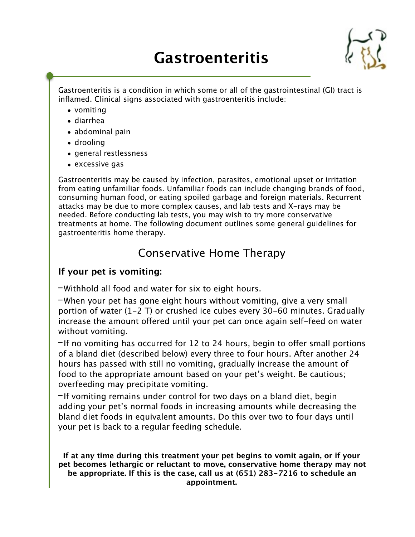# **Gastroenteritis**



Gastroenteritis is a condition in which some or all of the gastrointestinal (GI) tract is inflamed. Clinical signs associated with gastroenteritis include:

- vomiting
- diarrhea
- abdominal pain
- drooling
- general restlessness
- excessive gas

Gastroenteritis may be caused by infection, parasites, emotional upset or irritation from eating unfamiliar foods. Unfamiliar foods can include changing brands of food, consuming human food, or eating spoiled garbage and foreign materials. Recurrent attacks may be due to more complex causes, and lab tests and X-rays may be needed. Before conducting lab tests, you may wish to try more conservative treatments at home. The following document outlines some general guidelines for gastroenteritis home therapy.

## Conservative Home Therapy

## **If your pet is vomiting:**

-Withhold all food and water for six to eight hours.

-When your pet has gone eight hours without vomiting, give a very small portion of water (1-2 T) or crushed ice cubes every 30-60 minutes. Gradually increase the amount offered until your pet can once again self-feed on water without vomiting.

-If no vomiting has occurred for 12 to 24 hours, begin to ofer small portions of a bland diet (described below) every three to four hours. After another 24 hours has passed with still no vomiting, gradually increase the amount of food to the appropriate amount based on your pet's weight. Be cautious; overfeeding may precipitate vomiting.

-If vomiting remains under control for two days on a bland diet, begin adding your pet's normal foods in increasing amounts while decreasing the bland diet foods in equivalent amounts. Do this over two to four days until your pet is back to a regular feeding schedule.

**If at any time during this treatment your pet begins to vomit again, or if your pet becomes lethargic or reluctant to move, conservative home therapy may not be appropriate. If this is the case, call us at (651) 283-7216 to schedule an appointment.**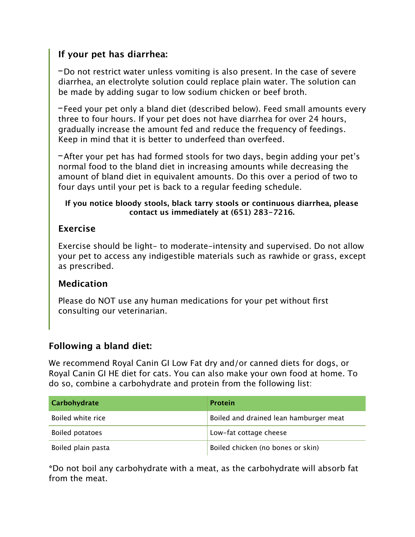## **If your pet has diarrhea:**

-Do not restrict water unless vomiting is also present. In the case of severe diarrhea, an electrolyte solution could replace plain water. The solution can be made by adding sugar to low sodium chicken or beef broth.

-Feed your pet only a bland diet (described below). Feed small amounts every three to four hours. If your pet does not have diarrhea for over 24 hours, gradually increase the amount fed and reduce the frequency of feedings. Keep in mind that it is better to underfeed than overfeed.

-After your pet has had formed stools for two days, begin adding your pet's normal food to the bland diet in increasing amounts while decreasing the amount of bland diet in equivalent amounts. Do this over a period of two to four days until your pet is back to a regular feeding schedule.

#### **If you notice bloody stools, black tarry stools or continuous diarrhea, please contact us immediately at (651) 283-7216.**

## **Exercise**

Exercise should be light- to moderate-intensity and supervised. Do not allow your pet to access any indigestible materials such as rawhide or grass, except as prescribed.

## **Medication**

Please do NOT use any human medications for your pet without first consulting our veterinarian.

## **Following a bland diet:**

We recommend Royal Canin GI Low Fat dry and/or canned diets for dogs, or Royal Canin GI HE diet for cats. You can also make your own food at home. To do so, combine a carbohydrate and protein from the following list:

| Carbohydrate           | Protein                                |
|------------------------|----------------------------------------|
| Boiled white rice      | Boiled and drained lean hamburger meat |
| <b>Boiled potatoes</b> | Low-fat cottage cheese                 |
| Boiled plain pasta     | Boiled chicken (no bones or skin)      |

**\***Do not boil any carbohydrate with a meat, as the carbohydrate will absorb fat from the meat.